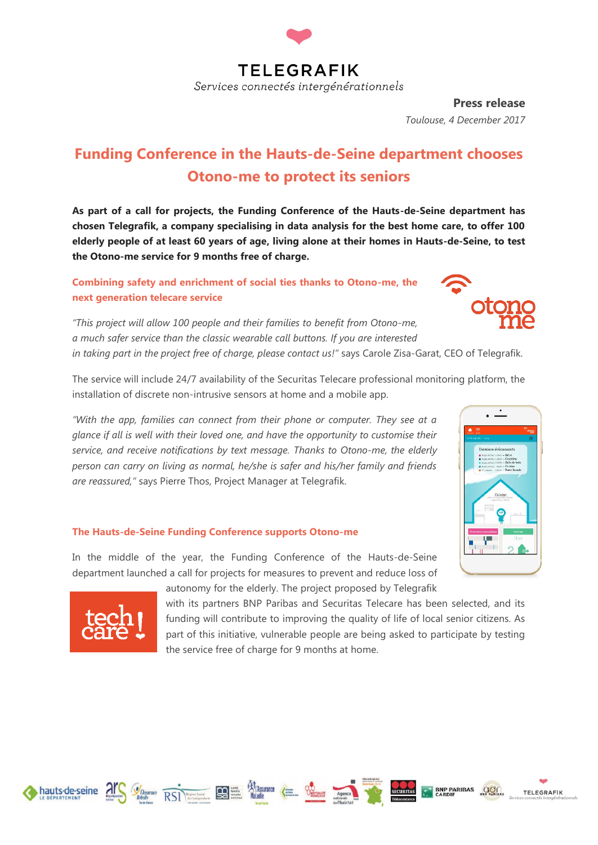

**Press release** *Toulouse, 4 December 2017*

# **Funding Conference in the Hauts-de-Seine department chooses Otono-me to protect its seniors**

**As part of a call for projects, the Funding Conference of the Hauts-de-Seine department has chosen Telegrafik, a company specialising in data analysis for the best home care, to offer 100 elderly people of at least 60 years of age, living alone at their homes in Hauts-de-Seine, to test the Otono-me service for 9 months free of charge.** 

**Combining safety and enrichment of social ties thanks to Otono-me, the next generation telecare service**



*"This project will allow 100 people and their families to benefit from Otono-me, a much safer service than the classic wearable call buttons. If you are interested in taking part in the project free of charge, please contact us!"* says Carole Zisa-Garat, CEO of Telegrafik.

The service will include 24/7 availability of the Securitas Telecare professional monitoring platform, the installation of discrete non-intrusive sensors at home and a mobile app.

*"With the app, families can connect from their phone or computer. They see at a glance if all is well with their loved one, and have the opportunity to customise their service, and receive notifications by text message. Thanks to Otono-me, the elderly person can carry on living as normal, he/she is safer and his/her family and friends are reassured,"* says Pierre Thos, Project Manager at Telegrafik.

#### **The Hauts-de-Seine Funding Conference supports Otono-me**

In the middle of the year, the Funding Conference of the Hauts-de-Seine department launched a call for projects for measures to prevent and reduce loss of



autonomy for the elderly. The project proposed by Telegrafik

with its partners BNP Paribas and Securitas Telecare has been selected, and its funding will contribute to improving the quality of life of local senior citizens. As part of this initiative, vulnerable people are being asked to participate by testing the service free of charge for 9 months at home.